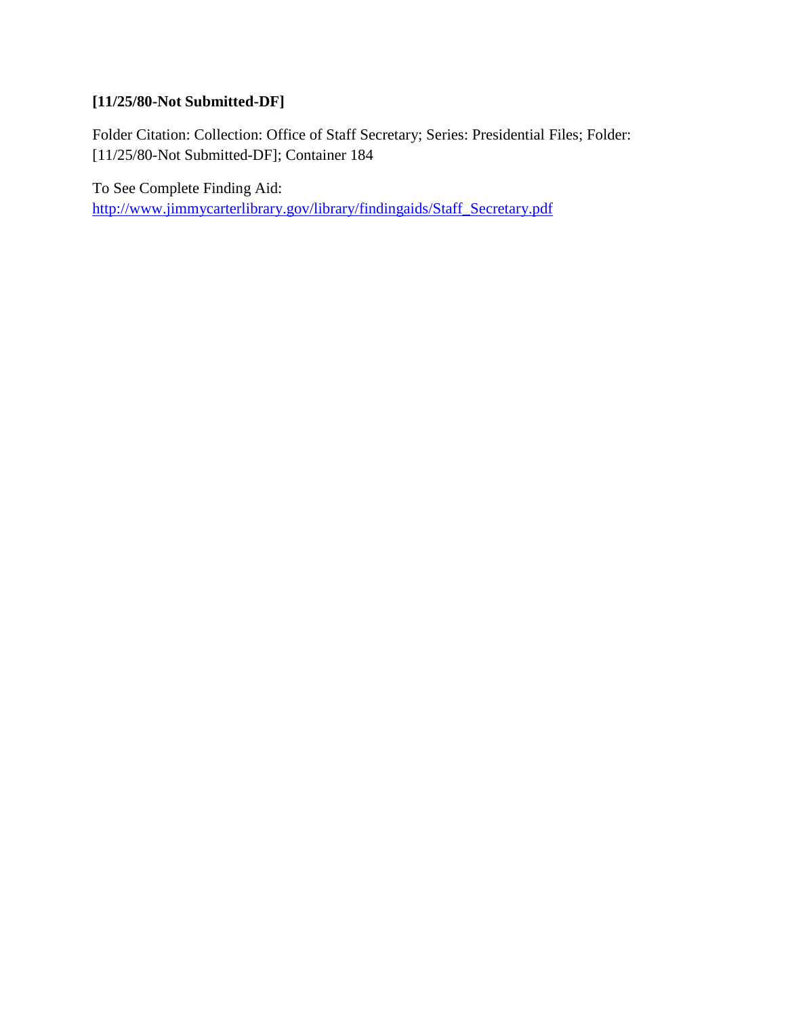# **[11/25/80-Not Submitted-DF]**

Folder Citation: Collection: Office of Staff Secretary; Series: Presidential Files; Folder: [11/25/80-Not Submitted-DF]; Container 184

To See Complete Finding Aid:

[http://www.jimmycarterlibrary.gov/library/findingaids/Staff\\_Secretary.pdf](http://www.jimmycarterlibrary.gov/library/findingaids/Staff_Secretary.pdf)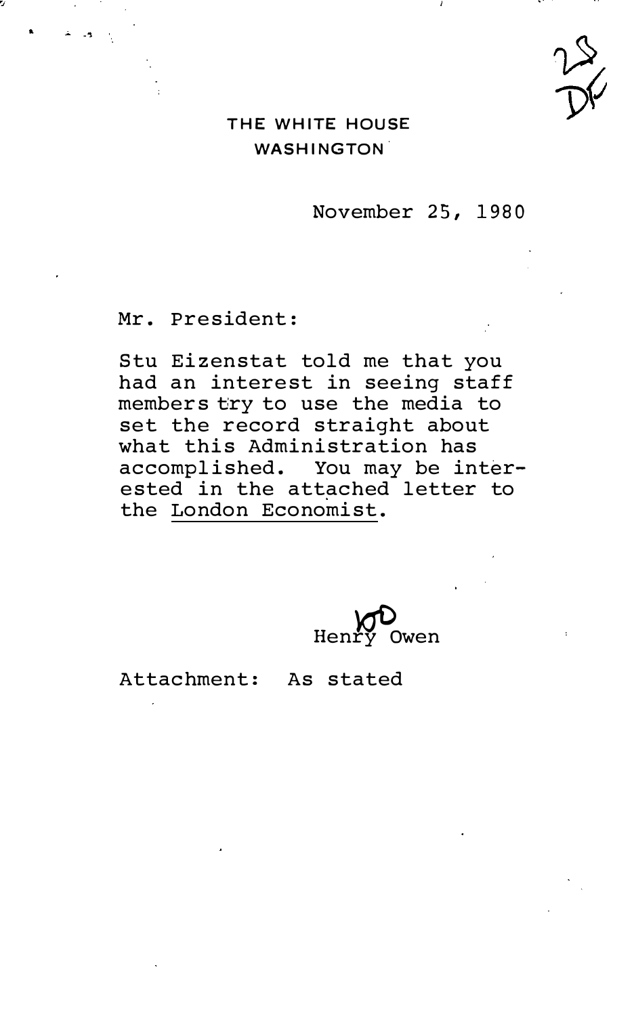### THE WHITE HOUSE **WASHINGTON**

November 25, 1980

Mr. President:

Stu Eizenstat told me that you had an interest in seeing staff members tiry to use the media to set the record straight about what this Administration has accomplished. You may be interested in the attached letter to the London Economist.

Henry

Attachment: As stated